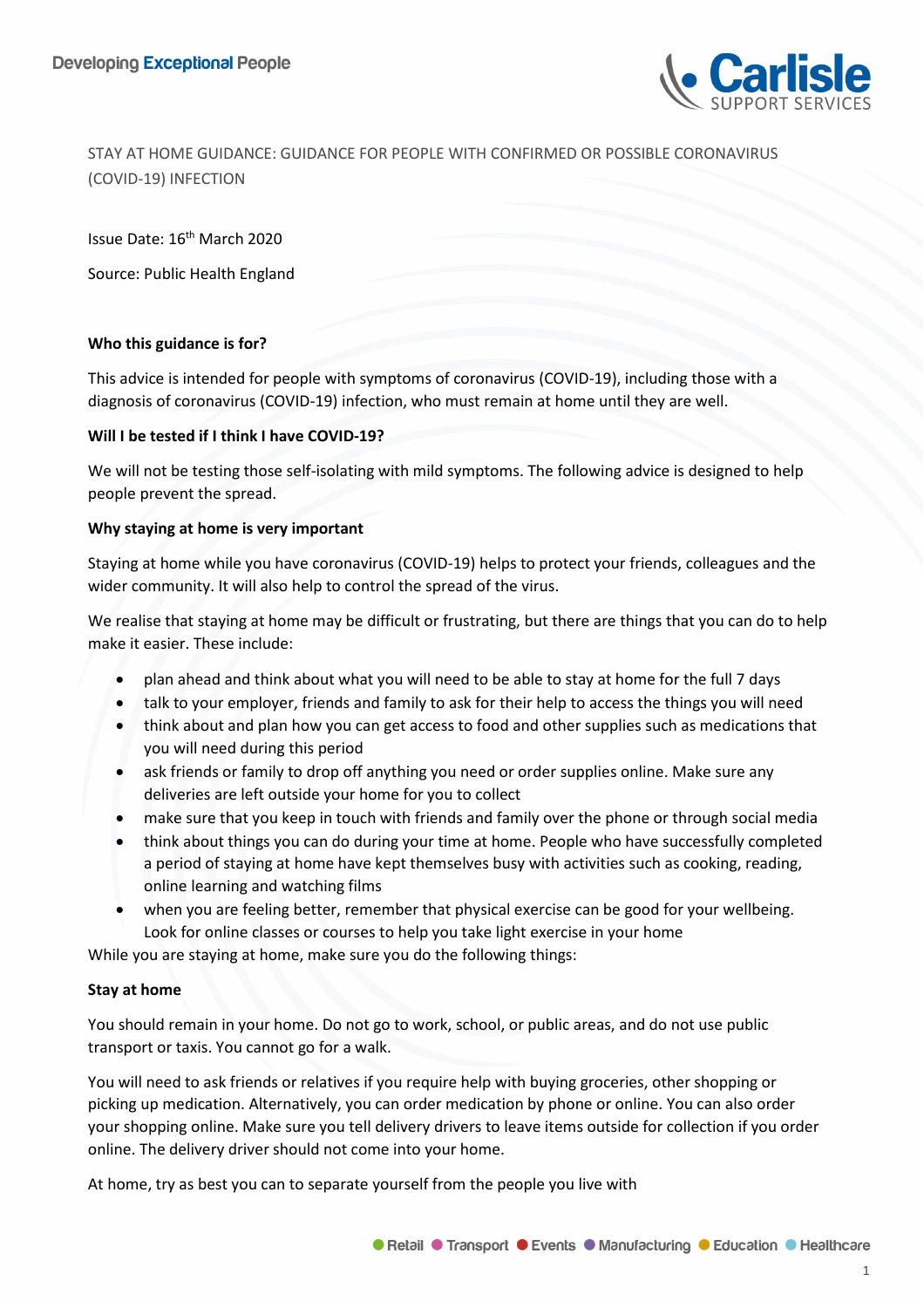

STAY AT HOME GUIDANCE: GUIDANCE FOR PEOPLE WITH CONFIRMED OR POSSIBLE CORONAVIRUS (COVID-19) INFECTION

Issue Date: 16<sup>th</sup> March 2020

Source: Public Health England

#### **Who this guidance is for?**

This advice is intended for people with symptoms of coronavirus (COVID-19), including those with a diagnosis of coronavirus (COVID-19) infection, who must remain at home until they are well.

#### **Will I be tested if I think I have COVID-19?**

We will not be testing those self-isolating with mild symptoms. The following advice is designed to help people prevent the spread.

#### **Why staying at home is very important**

Staying at home while you have coronavirus (COVID-19) helps to protect your friends, colleagues and the wider community. It will also help to control the spread of the virus.

We realise that staying at home may be difficult or frustrating, but there are things that you can do to help make it easier. These include:

- plan ahead and think about what you will need to be able to stay at home for the full 7 days
- talk to your employer, friends and family to ask for their help to access the things you will need
- think about and plan how you can get access to food and other supplies such as medications that you will need during this period
- ask friends or family to drop off anything you need or order supplies online. Make sure any deliveries are left outside your home for you to collect
- make sure that you keep in touch with friends and family over the phone or through social media
- think about things you can do during your time at home. People who have successfully completed a period of staying at home have kept themselves busy with activities such as cooking, reading, online learning and watching films
- when you are feeling better, remember that physical exercise can be good for your wellbeing. Look for online classes or courses to help you take light exercise in your home

While you are staying at home, make sure you do the following things:

## **Stay at home**

You should remain in your home. Do not go to work, school, or public areas, and do not use public transport or taxis. You cannot go for a walk.

You will need to ask friends or relatives if you require help with buying groceries, other shopping or picking up medication. Alternatively, you can order medication by phone or online. You can also order your shopping online. Make sure you tell delivery drivers to leave items outside for collection if you order online. The delivery driver should not come into your home.

At home, try as best you can to separate yourself from the people you live with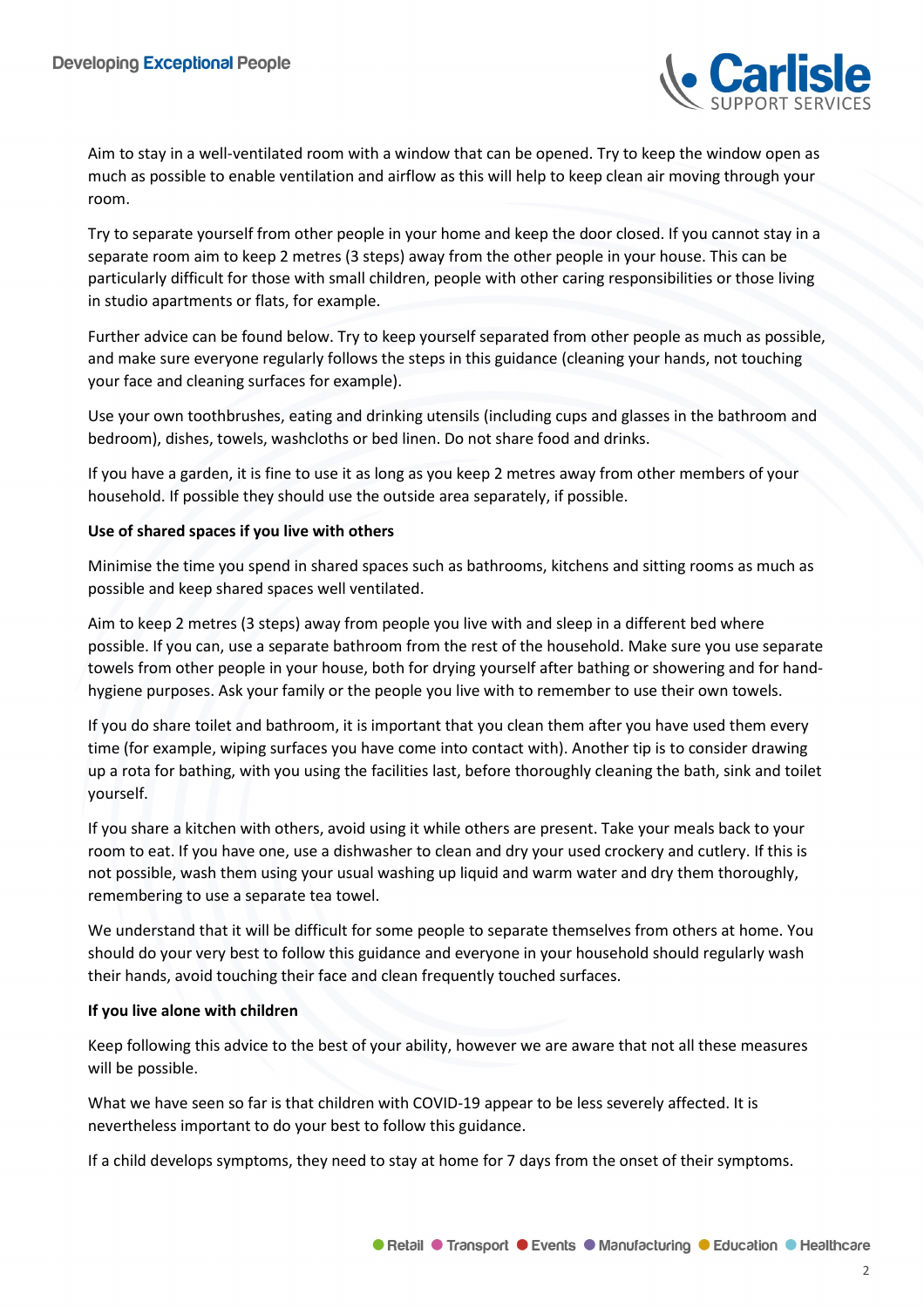

Aim to stay in a well-ventilated room with a window that can be opened. Try to keep the window open as much as possible to enable ventilation and airflow as this will help to keep clean air moving through your room.

Try to separate yourself from other people in your home and keep the door closed. If you cannot stay in a separate room aim to keep 2 metres (3 steps) away from the other people in your house. This can be particularly difficult for those with small children, people with other caring responsibilities or those living in studio apartments or flats, for example.

Further advice can be found below. Try to keep yourself separated from other people as much as possible, and make sure everyone regularly follows the steps in this guidance (cleaning your hands, not touching your face and cleaning surfaces for example).

Use your own toothbrushes, eating and drinking utensils (including cups and glasses in the bathroom and bedroom), dishes, towels, washcloths or bed linen. Do not share food and drinks.

If you have a garden, it is fine to use it as long as you keep 2 metres away from other members of your household. If possible they should use the outside area separately, if possible.

## **Use of shared spaces if you live with others**

Minimise the time you spend in shared spaces such as bathrooms, kitchens and sitting rooms as much as possible and keep shared spaces well ventilated.

Aim to keep 2 metres (3 steps) away from people you live with and sleep in a different bed where possible. If you can, use a separate bathroom from the rest of the household. Make sure you use separate towels from other people in your house, both for drying yourself after bathing or showering and for handhygiene purposes. Ask your family or the people you live with to remember to use their own towels.

If you do share toilet and bathroom, it is important that you clean them after you have used them every time (for example, wiping surfaces you have come into contact with). Another tip is to consider drawing up a rota for bathing, with you using the facilities last, before thoroughly cleaning the bath, sink and toilet yourself.

If you share a kitchen with others, avoid using it while others are present. Take your meals back to your room to eat. If you have one, use a dishwasher to clean and dry your used crockery and cutlery. If this is not possible, wash them using your usual washing up liquid and warm water and dry them thoroughly, remembering to use a separate tea towel.

We understand that it will be difficult for some people to separate themselves from others at home. You should do your very best to follow this guidance and everyone in your household should regularly wash their hands, avoid touching their face and clean frequently touched surfaces.

## **If you live alone with children**

Keep following this advice to the best of your ability, however we are aware that not all these measures will be possible.

What we have seen so far is that children with COVID-19 appear to be less severely affected. It is nevertheless important to do your best to follow this guidance.

If a child develops symptoms, they need to stay at home for 7 days from the onset of their symptoms.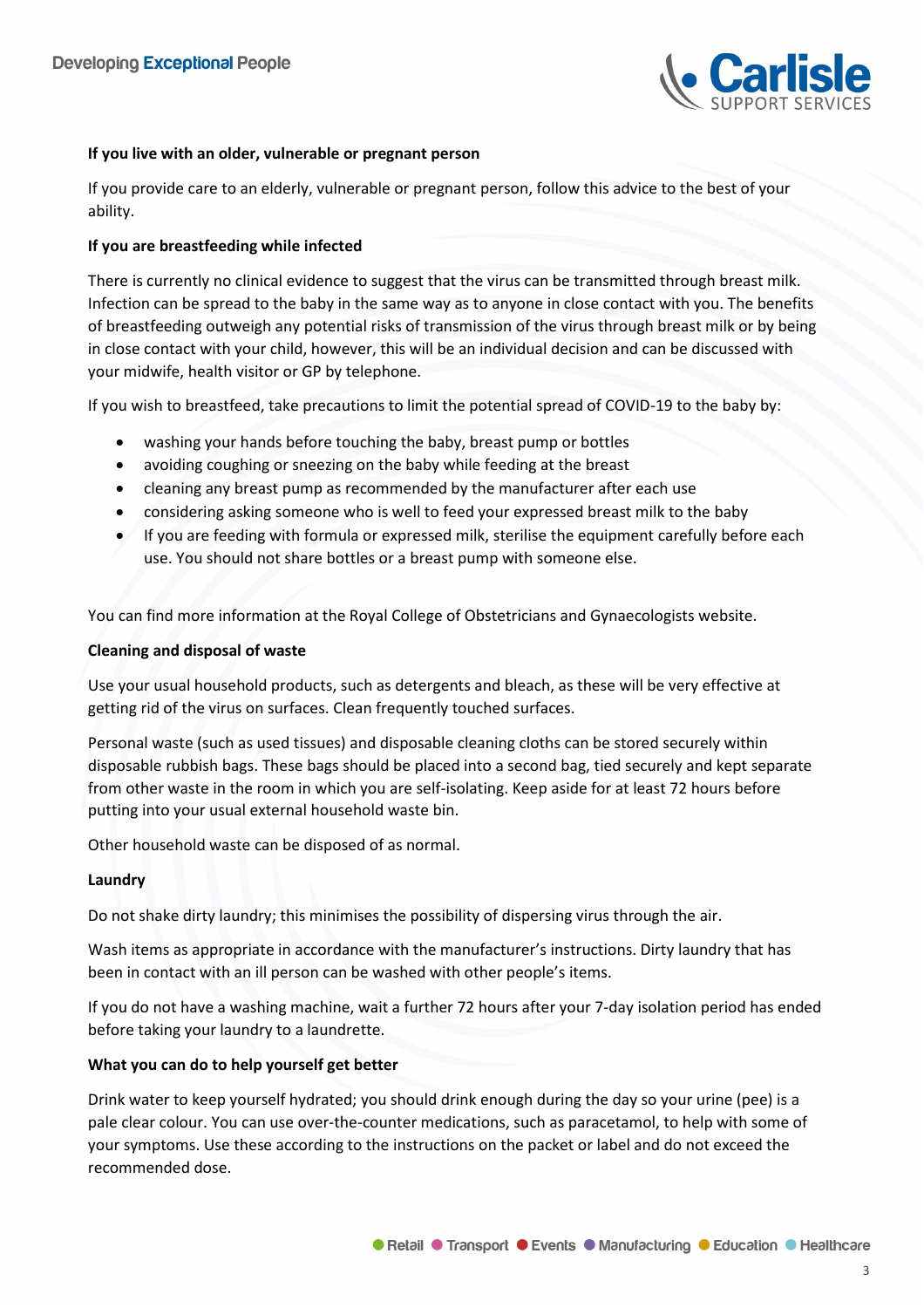

# **If you live with an older, vulnerable or pregnant person**

If you provide care to an elderly, vulnerable or pregnant person, follow this advice to the best of your ability.

# **If you are breastfeeding while infected**

There is currently no clinical evidence to suggest that the virus can be transmitted through breast milk. Infection can be spread to the baby in the same way as to anyone in close contact with you. The benefits of breastfeeding outweigh any potential risks of transmission of the virus through breast milk or by being in close contact with your child, however, this will be an individual decision and can be discussed with your midwife, health visitor or GP by telephone.

If you wish to breastfeed, take precautions to limit the potential spread of COVID-19 to the baby by:

- washing your hands before touching the baby, breast pump or bottles
- avoiding coughing or sneezing on the baby while feeding at the breast
- cleaning any breast pump as recommended by the manufacturer after each use
- considering asking someone who is well to feed your expressed breast milk to the baby
- If you are feeding with formula or expressed milk, sterilise the equipment carefully before each use. You should not share bottles or a breast pump with someone else.

You can find more information at the Royal College of Obstetricians and Gynaecologists website.

#### **Cleaning and disposal of waste**

Use your usual household products, such as detergents and bleach, as these will be very effective at getting rid of the virus on surfaces. Clean frequently touched surfaces.

Personal waste (such as used tissues) and disposable cleaning cloths can be stored securely within disposable rubbish bags. These bags should be placed into a second bag, tied securely and kept separate from other waste in the room in which you are self-isolating. Keep aside for at least 72 hours before putting into your usual external household waste bin.

Other household waste can be disposed of as normal.

## **Laundry**

Do not shake dirty laundry; this minimises the possibility of dispersing virus through the air.

Wash items as appropriate in accordance with the manufacturer's instructions. Dirty laundry that has been in contact with an ill person can be washed with other people's items.

If you do not have a washing machine, wait a further 72 hours after your 7-day isolation period has ended before taking your laundry to a laundrette.

## **What you can do to help yourself get better**

Drink water to keep yourself hydrated; you should drink enough during the day so your urine (pee) is a pale clear colour. You can use over-the-counter medications, such as paracetamol, to help with some of your symptoms. Use these according to the instructions on the packet or label and do not exceed the recommended dose.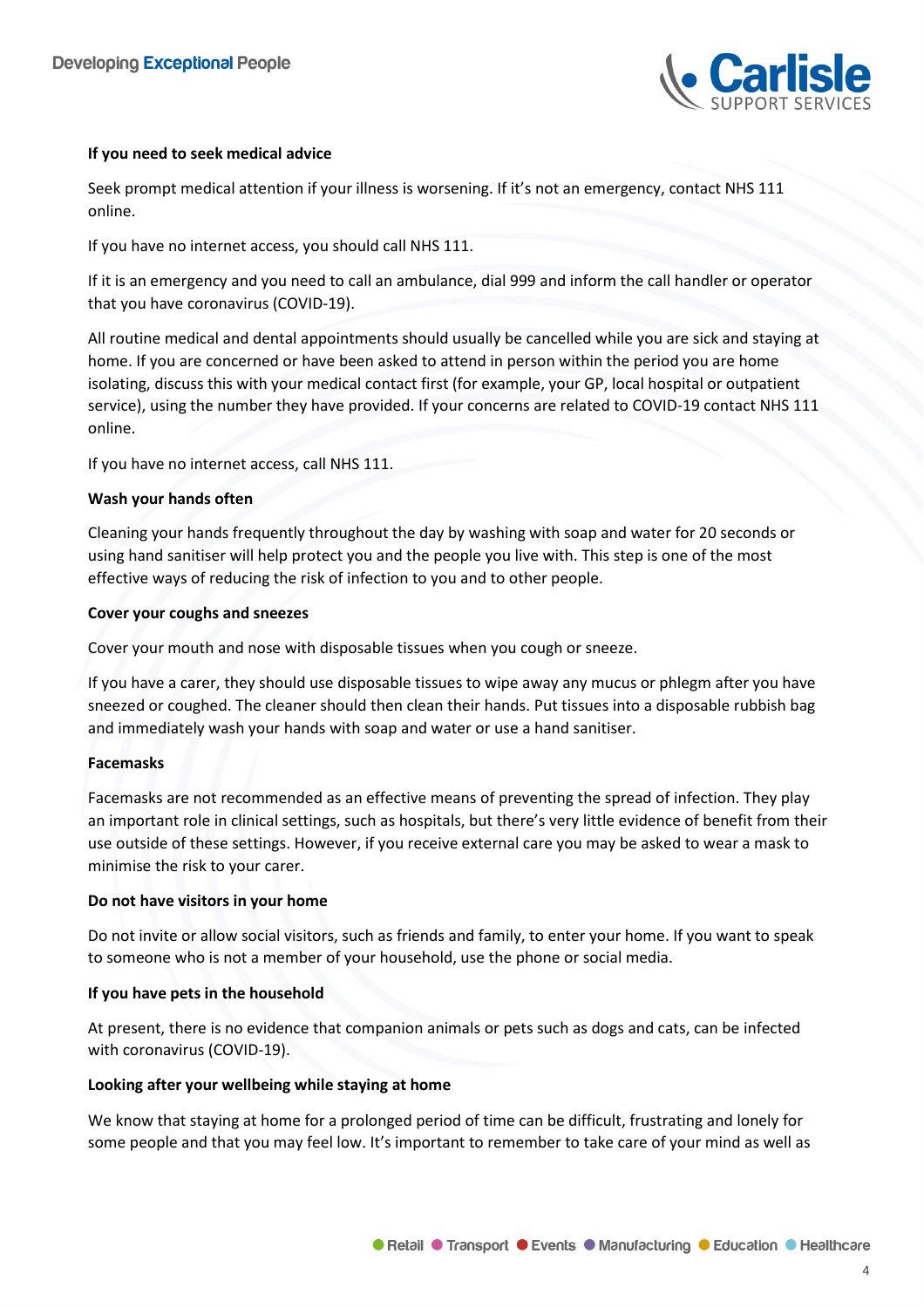

# **If you need to seek medical advice**

Seek prompt medical attention if your illness is worsening. If it's not an emergency, contact NHS 111 online.

If you have no internet access, you should call NHS 111.

If it is an emergency and you need to call an ambulance, dial 999 and inform the call handler or operator that you have coronavirus (COVID-19).

All routine medical and dental appointments should usually be cancelled while you are sick and staying at home. If you are concerned or have been asked to attend in person within the period you are home isolating, discuss this with your medical contact first (for example, your GP, local hospital or outpatient service), using the number they have provided. If your concerns are related to COVID-19 contact NHS 111 online.

If you have no internet access, call NHS 111.

## **Wash your hands often**

Cleaning your hands frequently throughout the day by washing with soap and water for 20 seconds or using hand sanitiser will help protect you and the people you live with. This step is one of the most effective ways of reducing the risk of infection to you and to other people.

## **Cover your coughs and sneezes**

Cover your mouth and nose with disposable tissues when you cough or sneeze.

If you have a carer, they should use disposable tissues to wipe away any mucus or phlegm after you have sneezed or coughed. The cleaner should then clean their hands. Put tissues into a disposable rubbish bag and immediately wash your hands with soap and water or use a hand sanitiser.

## **Facemasks**

Facemasks are not recommended as an effective means of preventing the spread of infection. They play an important role in clinical settings, such as hospitals, but there's very little evidence of benefit from their use outside of these settings. However, if you receive external care you may be asked to wear a mask to minimise the risk to your carer.

## **Do not have visitors in your home**

Do not invite or allow social visitors, such as friends and family, to enter your home. If you want to speak to someone who is not a member of your household, use the phone or social media.

## **If you have pets in the household**

At present, there is no evidence that companion animals or pets such as dogs and cats, can be infected with coronavirus (COVID-19).

## **Looking after your wellbeing while staying at home**

We know that staying at home for a prolonged period of time can be difficult, frustrating and lonely for some people and that you may feel low. It's important to remember to take care of your mind as well as